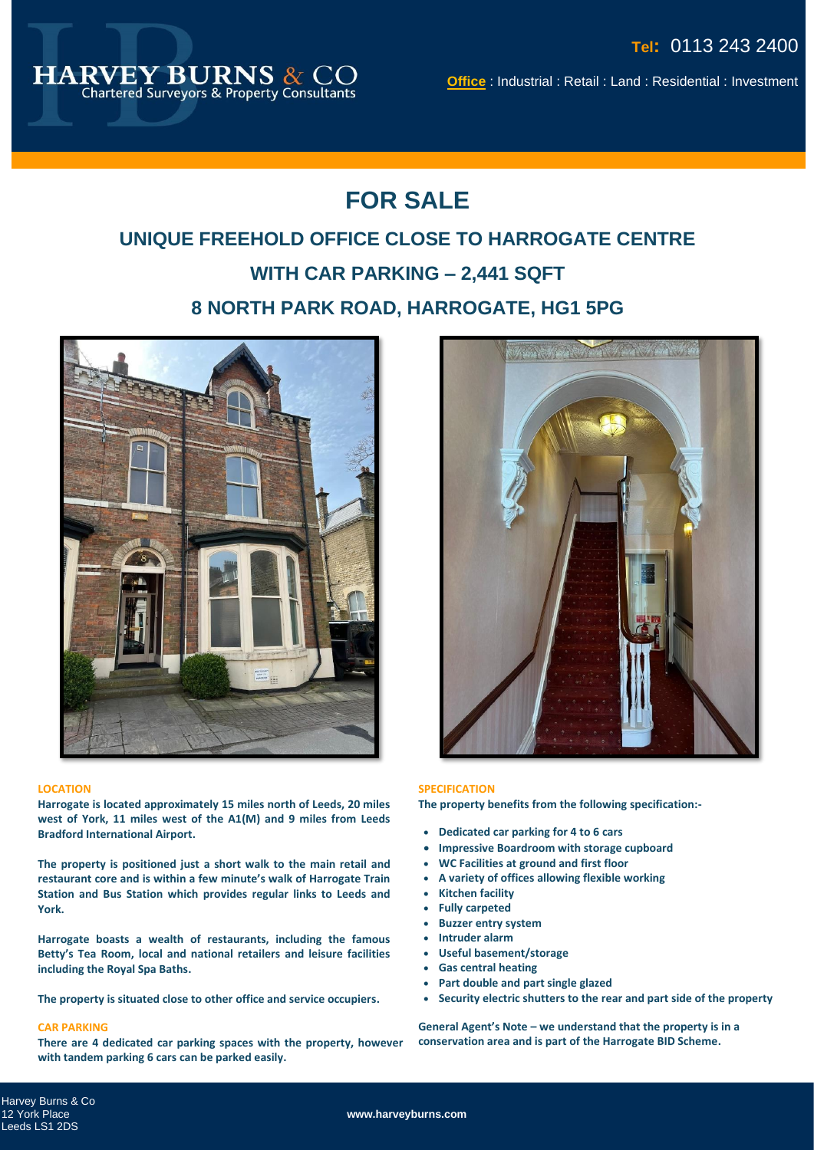

**Office** : Industrial : Retail : Land : Residential : Investment

## **FOR SALE**

## **UNIQUE FREEHOLD OFFICE CLOSE TO HARROGATE CENTRE WITH CAR PARKING – 2,441 SQFT 8 NORTH PARK ROAD, HARROGATE, HG1 5PG**



#### **LOCATION**

**Harrogate is located approximately 15 miles north of Leeds, 20 miles west of York, 11 miles west of the A1(M) and 9 miles from Leeds Bradford International Airport.** 

**The property is positioned just a short walk to the main retail and restaurant core and is within a few minute's walk of Harrogate Train Station and Bus Station which provides regular links to Leeds and York.** 

**Harrogate boasts a wealth of restaurants, including the famous Betty's Tea Room, local and national retailers and leisure facilities including the Royal Spa Baths.** 

**The property is situated close to other office and service occupiers.**

#### **CAR PARKING**

**There are 4 dedicated car parking spaces with the property, however with tandem parking 6 cars can be parked easily.** 



#### **SPECIFICATION**

**The property benefits from the following specification:-**

- **Dedicated car parking for 4 to 6 cars**
- **Impressive Boardroom with storage cupboard**
- **WC Facilities at ground and first floor**
- **A variety of offices allowing flexible working**
- **Kitchen facility**
- **Fully carpeted**
	- **Buzzer entry system**
	- **Intruder alarm**
	- **Useful basement/storage**
	- **Gas central heating**
	- **Part double and part single glazed**
	- **Security electric shutters to the rear and part side of the property**

**General Agent's Note – we understand that the property is in a conservation area and is part of the Harrogate BID Scheme.**